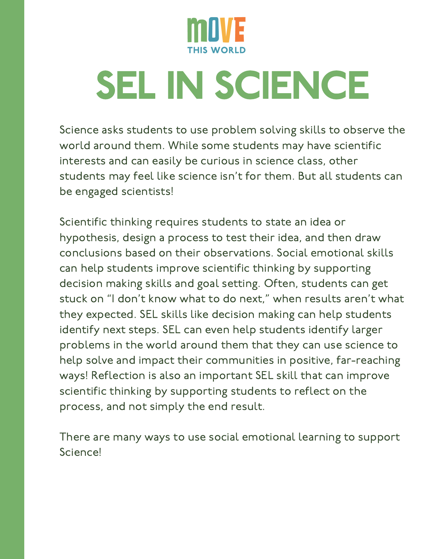

## SEL IN SCIENCE

Science asks students to use problem solving skills to observe the world around them. While some students may have scientific interests and can easily be curious in science class, other students may feel like science isn't for them. But all students can be engaged scientists!

Scientific thinking requires students to state an idea or hypothesis, design a process to test their idea, and then draw conclusions based on their observations. Social emotional skills can help students improve scientific thinking by supporting decision making skills and goal setting. Often, students can get stuck on "I don't know what to do next," when results aren't what they expected. SEL skills like decision making can help students identify next steps. SEL can even help students identify larger problems in the world around them that they can use science to help solve and impact their communities in positive, far-reaching ways! Reflection is also an important SEL skill that can improve scientific thinking by supporting students to reflect on the process, and not simply the end result.

There are many ways to use social emotional learning to support Science!